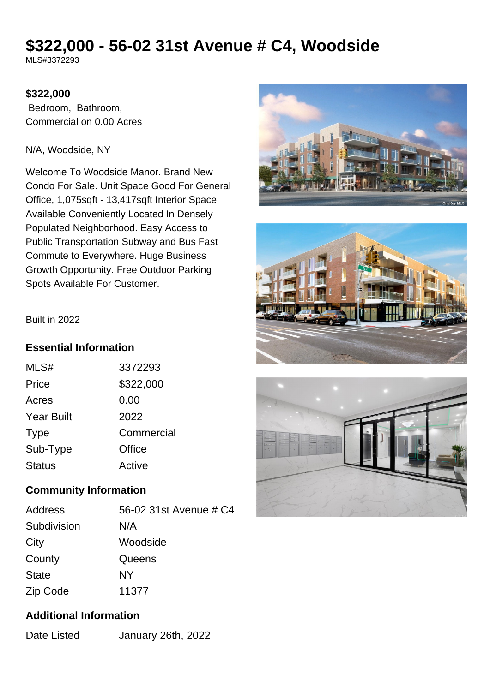# **\$322,000 - 56-02 31st Avenue # C4, Woodside**

MLS#3372293

### **\$322,000**

 Bedroom, Bathroom, Commercial on 0.00 Acres

#### N/A, Woodside, NY

Welcome To Woodside Manor. Brand New Condo For Sale. Unit Space Good For General Office, 1,075sqft - 13,417sqft Interior Space Available Conveniently Located In Densely Populated Neighborhood. Easy Access to Public Transportation Subway and Bus Fast Commute to Everywhere. Huge Business Growth Opportunity. Free Outdoor Parking Spots Available For Customer.







#### Built in 2022

### **Essential Information**

| MLS#              | 3372293    |
|-------------------|------------|
| Price             | \$322,000  |
| Acres             | 0.00       |
| <b>Year Built</b> | 2022       |
| <b>Type</b>       | Commercial |
| Sub-Type          | Office     |
| <b>Status</b>     | Active     |

## **Community Information**

| Address      | 56-02 31st Avenue # C4 |
|--------------|------------------------|
| Subdivision  | N/A                    |
| City         | Woodside               |
| County       | Queens                 |
| <b>State</b> | NΥ                     |
| Zip Code     | 11377                  |

## **Additional Information**

Date Listed January 26th, 2022